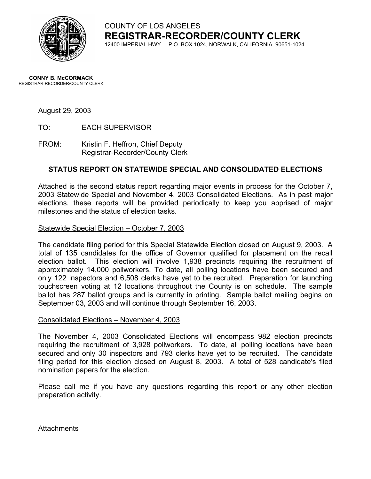

COUNTY OF LOS ANGELES **REGISTRAR-RECORDER/COUNTY CLERK**

12400 IMPERIAL HWY. – P.O. BOX 1024, NORWALK, CALIFORNIA 90651-1024

#### **CONNY B. McCORMACK** REGISTRAR-RECORDER/COUNTY CLERK

#### August 29, 2003

TO: EACH SUPERVISOR

FROM: Kristin F. Heffron, Chief Deputy Registrar-Recorder/County Clerk

#### **STATUS REPORT ON STATEWIDE SPECIAL AND CONSOLIDATED ELECTIONS**

Attached is the second status report regarding major events in process for the October 7, 2003 Statewide Special and November 4, 2003 Consolidated Elections. As in past major elections, these reports will be provided periodically to keep you apprised of major milestones and the status of election tasks.

#### Statewide Special Election – October 7, 2003

The candidate filing period for this Special Statewide Election closed on August 9, 2003. A total of 135 candidates for the office of Governor qualified for placement on the recall election ballot. This election will involve 1,938 precincts requiring the recruitment of approximately 14,000 pollworkers. To date, all polling locations have been secured and only 122 inspectors and 6,508 clerks have yet to be recruited. Preparation for launching touchscreen voting at 12 locations throughout the County is on schedule. The sample ballot has 287 ballot groups and is currently in printing. Sample ballot mailing begins on September 03, 2003 and will continue through September 16, 2003.

#### Consolidated Elections – November 4, 2003

The November 4, 2003 Consolidated Elections will encompass 982 election precincts requiring the recruitment of 3,928 pollworkers. To date, all polling locations have been secured and only 30 inspectors and 793 clerks have yet to be recruited. The candidate filing period for this election closed on August 8, 2003. A total of 528 candidate's filed nomination papers for the election.

Please call me if you have any questions regarding this report or any other election preparation activity.

**Attachments**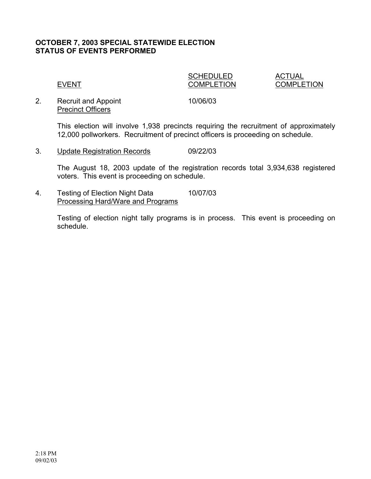### **OCTOBER 7, 2003 SPECIAL STATEWIDE ELECTION STATUS OF EVENTS PERFORMED**

# SCHEDULED ACTUAL

EVENT COMPLETION COMPLETION

2. Recruit and Appoint 10/06/03 Precinct Officers

This election will involve 1,938 precincts requiring the recruitment of approximately 12,000 pollworkers. Recruitment of precinct officers is proceeding on schedule.

3. Update Registration Records 09/22/03

The August 18, 2003 update of the registration records total 3,934,638 registered voters. This event is proceeding on schedule.

4. Testing of Election Night Data 10/07/03 Processing Hard/Ware and Programs

> Testing of election night tally programs is in process. This event is proceeding on schedule.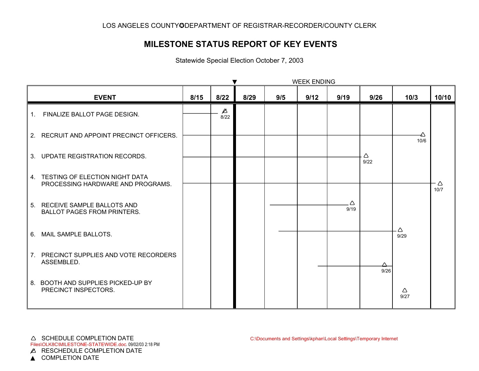# **MILESTONE STATUS REPORT OF KEY EVENTS**

Statewide Special Election October 7, 2003

|             |                                                                        | <b>WEEK ENDING</b> |                     |      |     |      |           |           |           |           |
|-------------|------------------------------------------------------------------------|--------------------|---------------------|------|-----|------|-----------|-----------|-----------|-----------|
|             | <b>EVENT</b>                                                           | 8/15               | 8/22                | 8/29 | 9/5 | 9/12 | 9/19      | 9/26      | 10/3      | 10/10     |
| $1_{\cdot}$ | FINALIZE BALLOT PAGE DESIGN.                                           |                    | $\triangle$<br>8/22 |      |     |      |           |           |           |           |
|             | 2. RECRUIT AND APPOINT PRECINCT OFFICERS.                              |                    |                     |      |     |      |           |           | ↛<br>10/6 |           |
|             | 3. UPDATE REGISTRATION RECORDS.                                        |                    |                     |      |     |      |           | Δ<br>9/22 |           |           |
|             | 4. TESTING OF ELECTION NIGHT DATA<br>PROCESSING HARDWARE AND PROGRAMS. |                    |                     |      |     |      |           |           |           | Δ<br>10/7 |
|             | 5. RECEIVE SAMPLE BALLOTS AND<br><b>BALLOT PAGES FROM PRINTERS.</b>    |                    |                     |      |     |      | Δ<br>9/19 |           |           |           |
|             | 6. MAIL SAMPLE BALLOTS.                                                |                    |                     |      |     |      |           |           | Δ<br>9/29 |           |
|             | 7. PRECINCT SUPPLIES AND VOTE RECORDERS<br>ASSEMBLED.                  |                    |                     |      |     |      |           | ∧<br>9/26 |           |           |
|             | 8. BOOTH AND SUPPLIES PICKED-UP BY<br>PRECINCT INSPECTORS.             |                    |                     |      |     |      |           |           | Δ<br>9/27 |           |